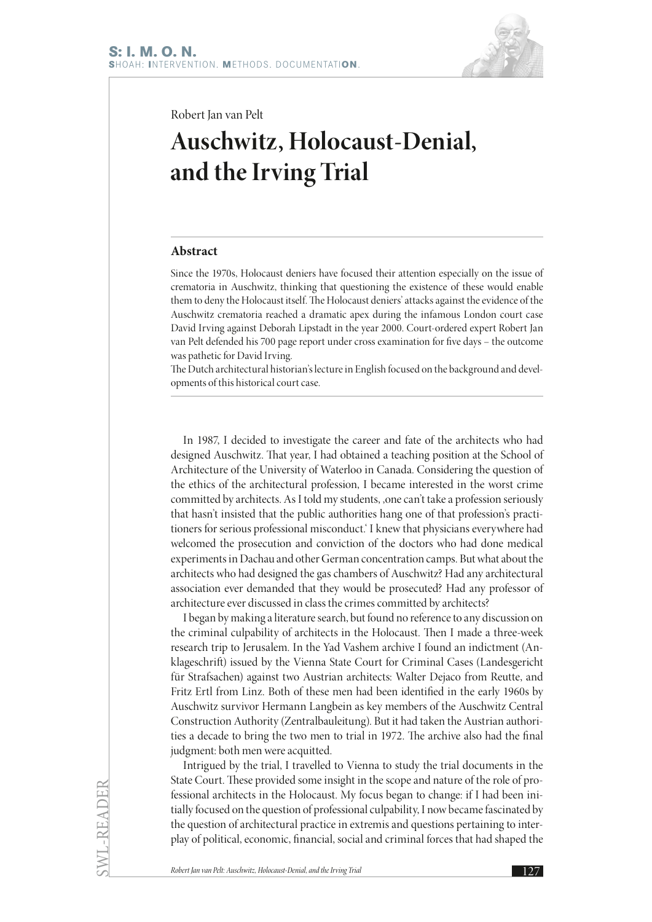

Robert Jan van Pelt

## **Auschwitz, Holocaust-Denial, and the Irving Trial**

## **Abstract**

Since the 1970s, Holocaust deniers have focused their attention especially on the issue of crematoria in Auschwitz, thinking that questioning the existence of these would enable them to deny the Holocaust itself. The Holocaust deniers' attacks against the evidence of the Auschwitz crematoria reached a dramatic apex during the infamous London court case David Irving against Deborah Lipstadt in the year 2000. Court-ordered expert Robert Jan van Pelt defended his 700 page report under cross examination for five days – the outcome was pathetic for David Irving.

The Dutch architectural historian's lecture in English focused on the background and developments of this historical court case.

In 1987, I decided to investigate the career and fate of the architects who had designed Auschwitz. That year, I had obtained a teaching position at the School of Architecture of the University of Waterloo in Canada. Considering the question of the ethics of the architectural profession, I became interested in the worst crime committed by architects. As I told my students, , one can't take a profession seriously that hasn't insisted that the public authorities hang one of that profession's practitioners for serious professional misconduct.' I knew that physicians everywhere had welcomed the prosecution and conviction of the doctors who had done medical experiments in Dachau and other German concentration camps. But what about the architects who had designed the gas chambers of Auschwitz? Had any architectural association ever demanded that they would be prosecuted? Had any professor of architecture ever discussed in class the crimes committed by architects?

I began by making a literature search, but found no reference to any discussion on the criminal culpability of architects in the Holocaust. Then I made a three-week research trip to Jerusalem. In the Yad Vashem archive I found an indictment (Anklageschrift) issued by the Vienna State Court for Criminal Cases (Landesgericht für Strafsachen) against two Austrian architects: Walter Dejaco from Reutte, and Fritz Ertl from Linz. Both of these men had been identified in the early 1960s by Auschwitz survivor Hermann Langbein as key members of the Auschwitz Central Construction Authority (Zentralbauleitung). But it had taken the Austrian authorities a decade to bring the two men to trial in 1972. The archive also had the final judgment: both men were acquitted.

Intrigued by the trial, I travelled to Vienna to study the trial documents in the State Court. These provided some insight in the scope and nature of the role of professional architects in the Holocaust. My focus began to change: if I had been initially focused on the question of professional culpability, I now became fascinated by the question of architectural practice in extremis and questions pertaining to interplay of political, economic, financial, social and criminal forces that had shaped the

SWL-READER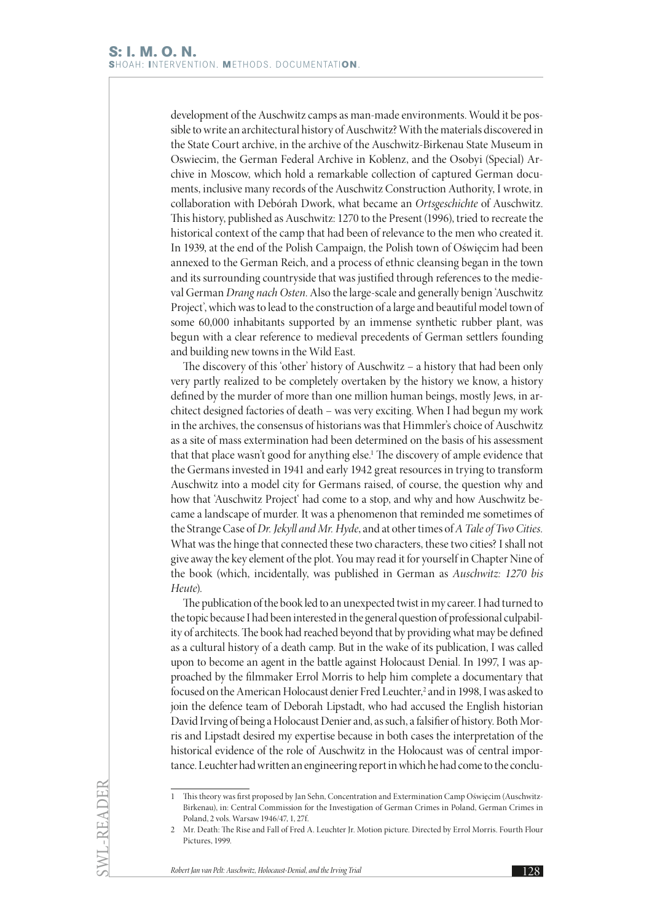development of the Auschwitz camps as man-made environments. Would it be possible to write an architectural history of Auschwitz? With the materials discovered in the State Court archive, in the archive of the Auschwitz-Birkenau State Museum in Oswiecim, the German Federal Archive in Koblenz, and the Osobyi (Special) Archive in Moscow, which hold a remarkable collection of captured German documents, inclusive many records of the Auschwitz Construction Authority, I wrote, in collaboration with Debórah Dwork, what became an *Ortsgeschichte* of Auschwitz. This history, published as Auschwitz: 1270 to the Present (1996), tried to recreate the historical context of the camp that had been of relevance to the men who created it. In 1939, at the end of the Polish Campaign, the Polish town of Oświęcim had been annexed to the German Reich, and a process of ethnic cleansing began in the town and its surrounding countryside that was justified through references to the medieval German *Drang nach Osten*. Also the large-scale and generally benign 'Auschwitz Project', which was to lead to the construction of a large and beautiful model town of some 60,000 inhabitants supported by an immense synthetic rubber plant, was begun with a clear reference to medieval precedents of German settlers founding and building new towns in the Wild East.

The discovery of this 'other' history of Auschwitz – a history that had been only very partly realized to be completely overtaken by the history we know, a history defined by the murder of more than one million human beings, mostly Jews, in architect designed factories of death – was very exciting. When I had begun my work in the archives, the consensus of historians was that Himmler's choice of Auschwitz as a site of mass extermination had been determined on the basis of his assessment that that place wasn't good for anything else.<sup>1</sup> The discovery of ample evidence that the Germans invested in 1941 and early 1942 great resources in trying to transform Auschwitz into a model city for Germans raised, of course, the question why and how that 'Auschwitz Project' had come to a stop, and why and how Auschwitz became a landscape of murder. It was a phenomenon that reminded me sometimes of the Strange Case of *Dr. Jekyll and Mr. Hyde*, and at other times of *A Tale of Two Cities.* What was the hinge that connected these two characters, these two cities? I shall not give away the key element of the plot. You may read it for yourself in Chapter Nine of the book (which, incidentally, was published in German as *Auschwitz: 1270 bis Heute*).

The publication of the book led to an unexpected twist in my career. I had turned to the topic because I had been interested in the general question of professional culpability of architects. The book had reached beyond that by providing what may be defined as a cultural history of a death camp. But in the wake of its publication, I was called upon to become an agent in the battle against Holocaust Denial. In 1997, I was approached by the filmmaker Errol Morris to help him complete a documentary that focused on the American Holocaust denier Fred Leuchter,<sup>2</sup> and in 1998, I was asked to join the defence team of Deborah Lipstadt, who had accused the English historian David Irving of being a Holocaust Denier and, as such, a falsifier of history. Both Morris and Lipstadt desired my expertise because in both cases the interpretation of the historical evidence of the role of Auschwitz in the Holocaust was of central importance. Leuchter had written an engineering report in which he had come to the conclu-

<sup>1</sup> This theory was first proposed by Jan Sehn, Concentration and Extermination Camp Oświęcim (Auschwitz-Birkenau), in: Central Commission for the Investigation of German Crimes in Poland, German Crimes in Poland, 2 vols. Warsaw 1946/47, 1, 27f.

<sup>2</sup> Mr. Death: The Rise and Fall of Fred A. Leuchter Jr. Motion picture. Directed by Errol Morris. Fourth Flour Pictures, 1999.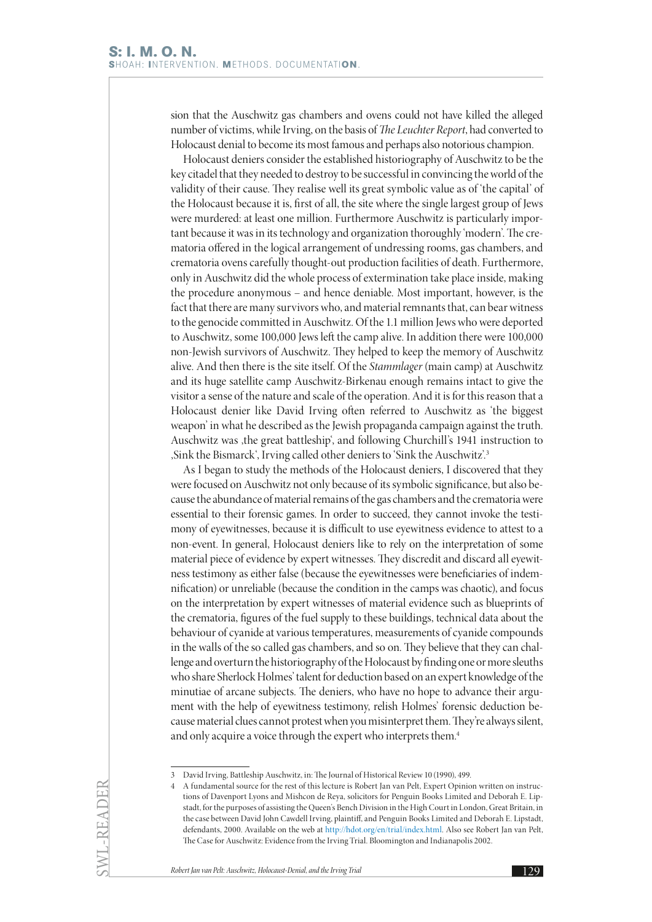sion that the Auschwitz gas chambers and ovens could not have killed the alleged number of victims, while Irving, on the basis of *The Leuchter Report*, had converted to Holocaust denial to become its most famous and perhaps also notorious champion.

Holocaust deniers consider the established historiography of Auschwitz to be the key citadel that they needed to destroy to be successful in convincing the world of the validity of their cause. They realise well its great symbolic value as of 'the capital' of the Holocaust because it is, first of all, the site where the single largest group of Jews were murdered: at least one million. Furthermore Auschwitz is particularly important because it was in its technology and organization thoroughly 'modern'. The crematoria offered in the logical arrangement of undressing rooms, gas chambers, and crematoria ovens carefully thought-out production facilities of death. Furthermore, only in Auschwitz did the whole process of extermination take place inside, making the procedure anonymous – and hence deniable. Most important, however, is the fact that there are many survivors who, and material remnants that, can bear witness to the genocide committed in Auschwitz. Of the 1.1 million Jews who were deported to Auschwitz, some 100,000 Jews left the camp alive. In addition there were 100,000 non-Jewish survivors of Auschwitz. They helped to keep the memory of Auschwitz alive. And then there is the site itself. Of the *Stammlager* (main camp) at Auschwitz and its huge satellite camp Auschwitz-Birkenau enough remains intact to give the visitor a sense of the nature and scale of the operation. And it is for this reason that a Holocaust denier like David Irving often referred to Auschwitz as 'the biggest weapon' in what he described as the Jewish propaganda campaign against the truth. Auschwitz was , the great battleship', and following Churchill's 1941 instruction to 'Sink the Bismarck', Irving called other deniers to 'Sink the Auschwitz'.3

As I began to study the methods of the Holocaust deniers, I discovered that they were focused on Auschwitz not only because of its symbolic significance, but also because the abundance of material remains of the gas chambers and the crematoria were essential to their forensic games. In order to succeed, they cannot invoke the testimony of eyewitnesses, because it is difficult to use eyewitness evidence to attest to a non-event. In general, Holocaust deniers like to rely on the interpretation of some material piece of evidence by expert witnesses. They discredit and discard all eyewitness testimony as either false (because the eyewitnesses were beneficiaries of indemnification) or unreliable (because the condition in the camps was chaotic), and focus on the interpretation by expert witnesses of material evidence such as blueprints of the crematoria, figures of the fuel supply to these buildings, technical data about the behaviour of cyanide at various temperatures, measurements of cyanide compounds in the walls of the so called gas chambers, and so on. They believe that they can challenge and overturn the historiography of the Holocaust by finding one or more sleuths who share Sherlock Holmes' talent for deduction based on an expert knowledge of the minutiae of arcane subjects. The deniers, who have no hope to advance their argument with the help of eyewitness testimony, relish Holmes' forensic deduction because material clues cannot protest when you misinterpret them. They're always silent, and only acquire a voice through the expert who interprets them.<sup>4</sup>

SWL-READER

<sup>3</sup> David Irving, Battleship Auschwitz, in: The Journal of Historical Review 10 (1990), 499.

<sup>4</sup> A fundamental source for the rest of this lecture is Robert Jan van Pelt, Expert Opinion written on instructions of Davenport Lyons and Mishcon de Reya, solicitors for Penguin Books Limited and Deborah E. Lipstadt, for the purposes of assisting the Queen's Bench Division in the High Court in London, Great Britain, in the case between David John Cawdell Irving, plaintiff, and Penguin Books Limited and Deborah E. Lipstadt, defendants, 2000. Available on the web at [http://hdot.org/en/trial/index.html.](http://hdot.org/en/trial/index.html) Also see Robert Jan van Pelt, The Case for Auschwitz: Evidence from the Irving Trial. Bloomington and Indianapolis 2002.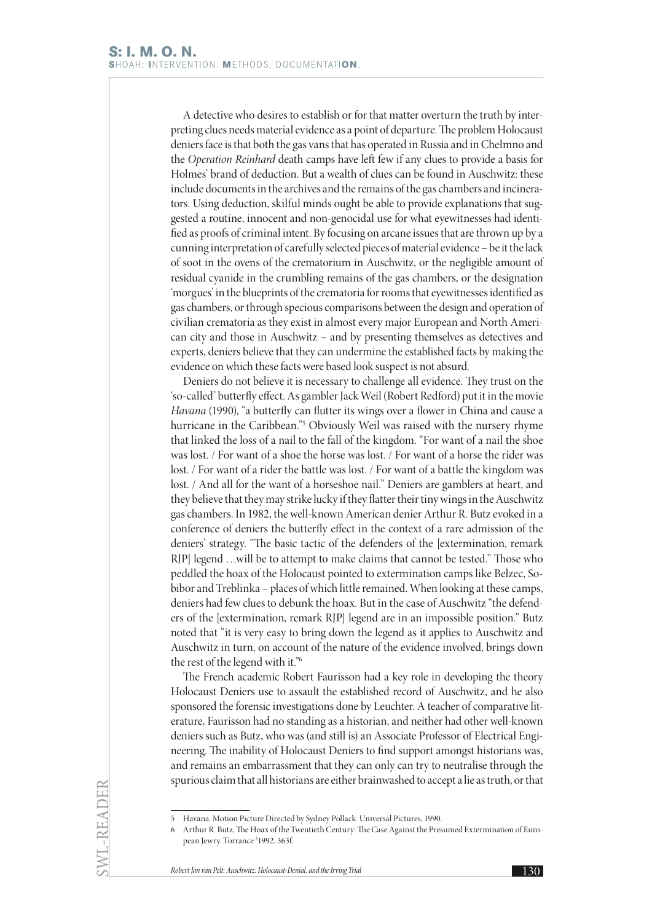A detective who desires to establish or for that matter overturn the truth by interpreting clues needs material evidence as a point of departure. The problem Holocaust deniers face is that both the gas vans that has operated in Russia and in Chełmno and the *Operation Reinhard* death camps have left few if any clues to provide a basis for Holmes' brand of deduction. But a wealth of clues can be found in Auschwitz: these include documents in the archives and the remains of the gas chambers and incinerators. Using deduction, skilful minds ought be able to provide explanations that suggested a routine, innocent and non-genocidal use for what eyewitnesses had identified as proofs of criminal intent. By focusing on arcane issues that are thrown up by a cunning interpretation of carefully selected pieces of material evidence – be it the lack of soot in the ovens of the crematorium in Auschwitz, or the negligible amount of residual cyanide in the crumbling remains of the gas chambers, or the designation 'morgues' in the blueprints of the crematoria for rooms that eyewitnesses identified as gas chambers, or through specious comparisons between the design and operation of civilian crematoria as they exist in almost every major European and North American city and those in Auschwitz – and by presenting themselves as detectives and experts, deniers believe that they can undermine the established facts by making the evidence on which these facts were based look suspect is not absurd.

Deniers do not believe it is necessary to challenge all evidence. They trust on the 'so-called' butterfly effect. As gambler Jack Weil (Robert Redford) put it in the movie *Havana* (1990), "a butterfly can flutter its wings over a flower in China and cause a hurricane in the Caribbean."5 Obviously Weil was raised with the nursery rhyme that linked the loss of a nail to the fall of the kingdom. "For want of a nail the shoe was lost. / For want of a shoe the horse was lost. / For want of a horse the rider was lost. / For want of a rider the battle was lost. / For want of a battle the kingdom was lost. / And all for the want of a horseshoe nail." Deniers are gamblers at heart, and they believe that they may strike lucky if they flatter their tiny wings in the Auschwitz gas chambers. In 1982, the well-known American denier Arthur R. Butz evoked in a conference of deniers the butterfly effect in the context of a rare admission of the deniers' strategy. "The basic tactic of the defenders of the [extermination, remark RJP] legend …will be to attempt to make claims that cannot be tested." Those who peddled the hoax of the Holocaust pointed to extermination camps like Belzec, Sobibor and Treblinka – places of which little remained. When looking at these camps, deniers had few clues to debunk the hoax. But in the case of Auschwitz "the defenders of the [extermination, remark RJP] legend are in an impossible position." Butz noted that "it is very easy to bring down the legend as it applies to Auschwitz and Auschwitz in turn, on account of the nature of the evidence involved, brings down the rest of the legend with it."6

The French academic Robert Faurisson had a key role in developing the theory Holocaust Deniers use to assault the established record of Auschwitz, and he also sponsored the forensic investigations done by Leuchter. A teacher of comparative literature, Faurisson had no standing as a historian, and neither had other well-known deniers such as Butz, who was (and still is) an Associate Professor of Electrical Engineering. The inability of Holocaust Deniers to find support amongst historians was, and remains an embarrassment that they can only can try to neutralise through the spurious claim that all historians are either brainwashed to accept a lie as truth, or that

SWL-READER

<sup>5</sup> Havana. Motion Picture Directed by Sydney Pollack. Universal Pictures, 1990.

<sup>6</sup> Arthur R. Butz, The Hoax of the Twentieth Century: The Case Against the Presumed Extermination of European Jewry. Torrance <sup>2</sup>1992, 363f.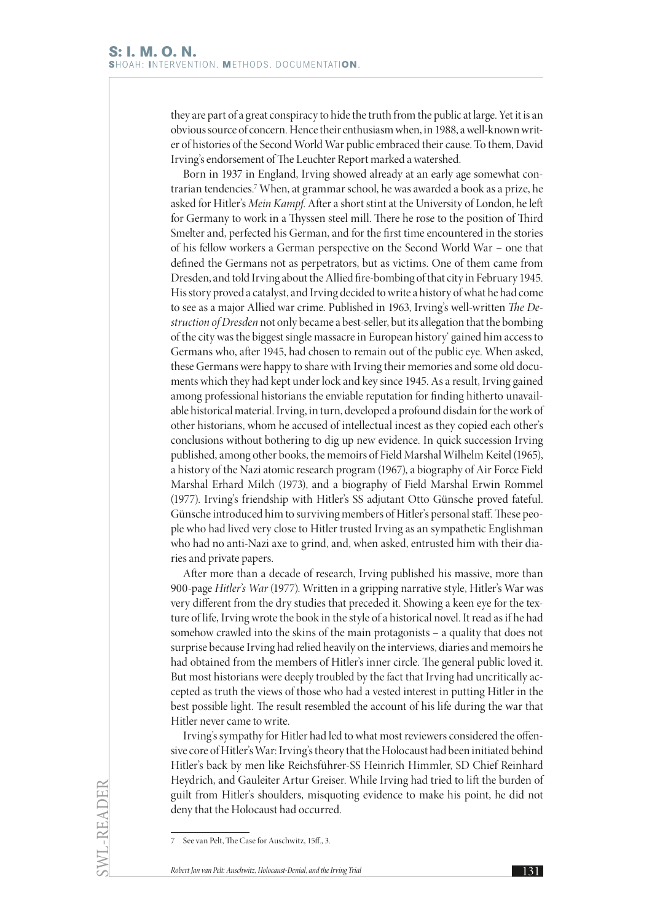they are part of a great conspiracy to hide the truth from the public at large. Yet it is an obvious source of concern. Hence their enthusiasm when, in 1988, a well-known writer of histories of the Second World War public embraced their cause. To them, David Irving's endorsement of The Leuchter Report marked a watershed.

Born in 1937 in England, Irving showed already at an early age somewhat contrarian tendencies.7 When, at grammar school, he was awarded a book as a prize, he asked for Hitler's *Mein Kampf*. After a short stint at the University of London, he left for Germany to work in a Thyssen steel mill. There he rose to the position of Third Smelter and, perfected his German, and for the first time encountered in the stories of his fellow workers a German perspective on the Second World War – one that defined the Germans not as perpetrators, but as victims. One of them came from Dresden, and told Irving about the Allied fire-bombing of that city in February 1945. His story proved a catalyst, and Irving decided to write a history of what he had come to see as a major Allied war crime. Published in 1963, Irving's well-written *The Destruction of Dresden* not only became a best-seller, but its allegation that the bombing of the city was the biggest single massacre in European history' gained him access to Germans who, after 1945, had chosen to remain out of the public eye. When asked, these Germans were happy to share with Irving their memories and some old documents which they had kept under lock and key since 1945. As a result, Irving gained among professional historians the enviable reputation for finding hitherto unavailable historical material. Irving, in turn, developed a profound disdain for the work of other historians, whom he accused of intellectual incest as they copied each other's conclusions without bothering to dig up new evidence. In quick succession Irving published, among other books, the memoirs of Field Marshal Wilhelm Keitel (1965), a history of the Nazi atomic research program (1967), a biography of Air Force Field Marshal Erhard Milch (1973), and a biography of Field Marshal Erwin Rommel (1977). Irving's friendship with Hitler's SS adjutant Otto Günsche proved fateful. Günsche introduced him to surviving members of Hitler's personal staff. These people who had lived very close to Hitler trusted Irving as an sympathetic Englishman who had no anti-Nazi axe to grind, and, when asked, entrusted him with their diaries and private papers.

After more than a decade of research, Irving published his massive, more than 900-page *Hitler's War* (1977). Written in a gripping narrative style, Hitler's War was very different from the dry studies that preceded it. Showing a keen eye for the texture of life, Irving wrote the book in the style of a historical novel. It read as if he had somehow crawled into the skins of the main protagonists – a quality that does not surprise because Irving had relied heavily on the interviews, diaries and memoirs he had obtained from the members of Hitler's inner circle. The general public loved it. But most historians were deeply troubled by the fact that Irving had uncritically accepted as truth the views of those who had a vested interest in putting Hitler in the best possible light. The result resembled the account of his life during the war that Hitler never came to write.

Irving's sympathy for Hitler had led to what most reviewers considered the offensive core of Hitler's War: Irving's theory that the Holocaust had been initiated behind Hitler's back by men like Reichsführer-SS Heinrich Himmler, SD Chief Reinhard Heydrich, and Gauleiter Artur Greiser. While Irving had tried to lift the burden of guilt from Hitler's shoulders, misquoting evidence to make his point, he did not deny that the Holocaust had occurred.

<sup>7</sup> See van Pelt, The Case for Auschwitz, 15ff., 3.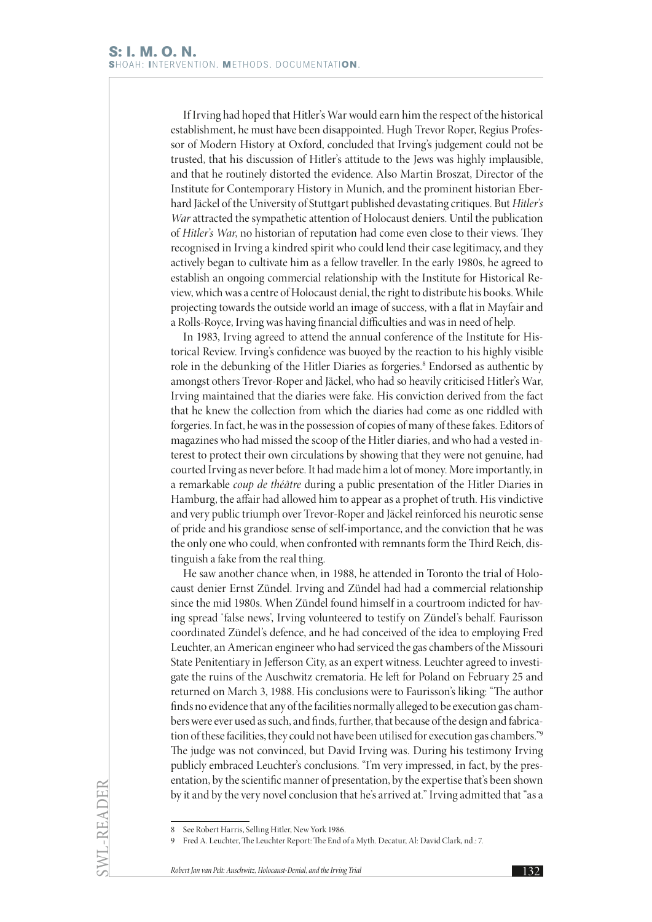If Irving had hoped that Hitler's War would earn him the respect of the historical establishment, he must have been disappointed. Hugh Trevor Roper, Regius Professor of Modern History at Oxford, concluded that Irving's judgement could not be trusted, that his discussion of Hitler's attitude to the Jews was highly implausible, and that he routinely distorted the evidence. Also Martin Broszat, Director of the Institute for Contemporary History in Munich, and the prominent historian Eberhard Jäckel of the University of Stuttgart published devastating critiques. But *Hitler's War* attracted the sympathetic attention of Holocaust deniers. Until the publication of *Hitler's War*, no historian of reputation had come even close to their views. They recognised in Irving a kindred spirit who could lend their case legitimacy, and they actively began to cultivate him as a fellow traveller. In the early 1980s, he agreed to establish an ongoing commercial relationship with the Institute for Historical Review, which was a centre of Holocaust denial, the right to distribute his books. While projecting towards the outside world an image of success, with a flat in Mayfair and a Rolls-Royce, Irving was having financial difficulties and was in need of help.

In 1983, Irving agreed to attend the annual conference of the Institute for Historical Review. Irving's confidence was buoyed by the reaction to his highly visible role in the debunking of the Hitler Diaries as forgeries.<sup>8</sup> Endorsed as authentic by amongst others Trevor-Roper and Jäckel, who had so heavily criticised Hitler's War, Irving maintained that the diaries were fake. His conviction derived from the fact that he knew the collection from which the diaries had come as one riddled with forgeries. In fact, he was in the possession of copies of many of these fakes. Editors of magazines who had missed the scoop of the Hitler diaries, and who had a vested interest to protect their own circulations by showing that they were not genuine, had courted Irving as never before. It had made him a lot of money. More importantly, in a remarkable *coup de théâtre* during a public presentation of the Hitler Diaries in Hamburg, the affair had allowed him to appear as a prophet of truth. His vindictive and very public triumph over Trevor-Roper and Jäckel reinforced his neurotic sense of pride and his grandiose sense of self-importance, and the conviction that he was the only one who could, when confronted with remnants form the Third Reich, distinguish a fake from the real thing.

He saw another chance when, in 1988, he attended in Toronto the trial of Holocaust denier Ernst Zündel. Irving and Zündel had had a commercial relationship since the mid 1980s. When Zündel found himself in a courtroom indicted for having spread 'false news', Irving volunteered to testify on Zündel's behalf. Faurisson coordinated Zündel's defence, and he had conceived of the idea to employing Fred Leuchter, an American engineer who had serviced the gas chambers of the Missouri State Penitentiary in Jefferson City, as an expert witness. Leuchter agreed to investigate the ruins of the Auschwitz crematoria. He left for Poland on February 25 and returned on March 3, 1988. His conclusions were to Faurisson's liking: "The author finds no evidence that any of the facilities normally alleged to be execution gas chambers were ever used as such, and finds, further, that because of the design and fabrication of these facilities, they could not have been utilised for execution gas chambers."9 The judge was not convinced, but David Irving was. During his testimony Irving publicly embraced Leuchter's conclusions. "I'm very impressed, in fact, by the presentation, by the scientific manner of presentation, by the expertise that's been shown by it and by the very novel conclusion that he's arrived at." Irving admitted that "as a

<sup>8</sup> See Robert Harris, Selling Hitler, New York 1986.

<sup>9</sup> Fred A. Leuchter, The Leuchter Report: The End of a Myth. Decatur, Al: David Clark, nd.: 7.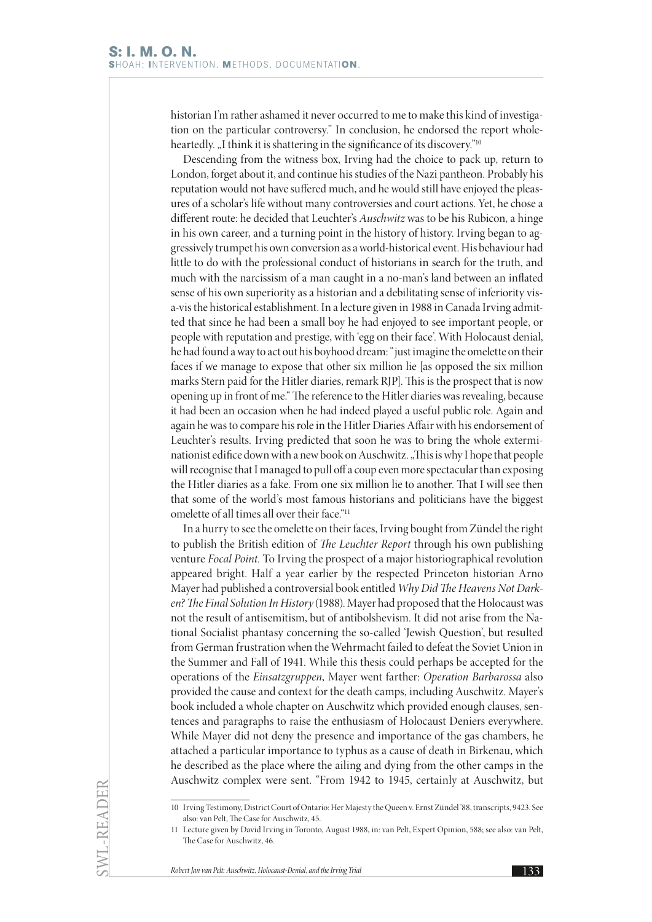historian I'm rather ashamed it never occurred to me to make this kind of investigation on the particular controversy." In conclusion, he endorsed the report wholeheartedly. "I think it is shattering in the significance of its discovery."<sup>10</sup>

Descending from the witness box, Irving had the choice to pack up, return to London, forget about it, and continue his studies of the Nazi pantheon. Probably his reputation would not have suffered much, and he would still have enjoyed the pleasures of a scholar's life without many controversies and court actions. Yet, he chose a different route: he decided that Leuchter's *Auschwitz* was to be his Rubicon, a hinge in his own career, and a turning point in the history of history. Irving began to aggressively trumpet his own conversion as a world-historical event. His behaviour had little to do with the professional conduct of historians in search for the truth, and much with the narcissism of a man caught in a no-man's land between an inflated sense of his own superiority as a historian and a debilitating sense of inferiority visa-vis the historical establishment. In a lecture given in 1988 in Canada Irving admitted that since he had been a small boy he had enjoyed to see important people, or people with reputation and prestige, with 'egg on their face'. With Holocaust denial, he had found a way to act out his boyhood dream: "just imagine the omelette on their faces if we manage to expose that other six million lie [as opposed the six million marks Stern paid for the Hitler diaries, remark RJP]. This is the prospect that is now opening up in front of me." The reference to the Hitler diaries was revealing, because it had been an occasion when he had indeed played a useful public role. Again and again he was to compare his role in the Hitler Diaries Affair with his endorsement of Leuchter's results. Irving predicted that soon he was to bring the whole exterminationist edifice down with a new book on Auschwitz. "This is why I hope that people will recognise that I managed to pull off a coup even more spectacular than exposing the Hitler diaries as a fake. From one six million lie to another. That I will see then that some of the world's most famous historians and politicians have the biggest omelette of all times all over their face."11

In a hurry to see the omelette on their faces, Irving bought from Zündel the right to publish the British edition of *The Leuchter Report* through his own publishing venture *Focal Point.* To Irving the prospect of a major historiographical revolution appeared bright. Half a year earlier by the respected Princeton historian Arno Mayer had published a controversial book entitled *Why Did The Heavens Not Darken? The Final Solution In History* (1988). Mayer had proposed that the Holocaust was not the result of antisemitism, but of antibolshevism. It did not arise from the National Socialist phantasy concerning the so-called 'Jewish Question', but resulted from German frustration when the Wehrmacht failed to defeat the Soviet Union in the Summer and Fall of 1941. While this thesis could perhaps be accepted for the operations of the *Einsatzgruppen*, Mayer went farther: *Operation Barbarossa* also provided the cause and context for the death camps, including Auschwitz. Mayer's book included a whole chapter on Auschwitz which provided enough clauses, sentences and paragraphs to raise the enthusiasm of Holocaust Deniers everywhere. While Mayer did not deny the presence and importance of the gas chambers, he attached a particular importance to typhus as a cause of death in Birkenau, which he described as the place where the ailing and dying from the other camps in the Auschwitz complex were sent. "From 1942 to 1945, certainly at Auschwitz, but

<sup>10</sup> Irving Testimony, District Court of Ontario: Her Majesty the Queen v. Ernst Zündel '88, transcripts, 9423. See also: van Pelt, The Case for Auschwitz, 45.

<sup>11</sup> Lecture given by David Irving in Toronto, August 1988, in: van Pelt, Expert Opinion, 588; see also: van Pelt, The Case for Auschwitz, 46.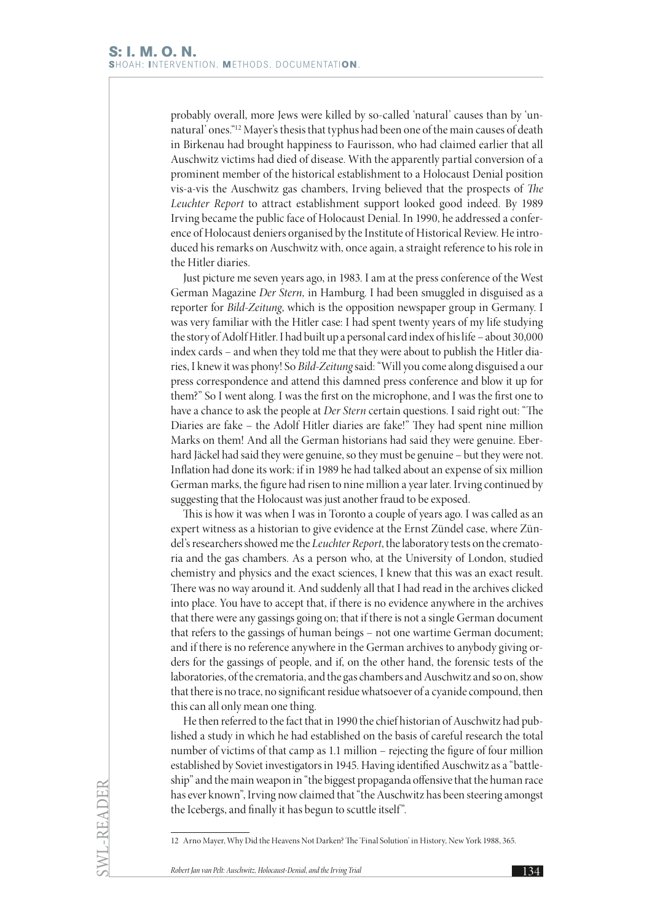probably overall, more Jews were killed by so-called 'natural' causes than by 'unnatural' ones."12 Mayer's thesis that typhus had been one of the main causes of death in Birkenau had brought happiness to Faurisson, who had claimed earlier that all Auschwitz victims had died of disease. With the apparently partial conversion of a prominent member of the historical establishment to a Holocaust Denial position vis-a-vis the Auschwitz gas chambers, Irving believed that the prospects of *The Leuchter Report* to attract establishment support looked good indeed. By 1989 Irving became the public face of Holocaust Denial. In 1990, he addressed a conference of Holocaust deniers organised by the Institute of Historical Review. He introduced his remarks on Auschwitz with, once again, a straight reference to his role in the Hitler diaries.

Just picture me seven years ago, in 1983. I am at the press conference of the West German Magazine *Der Stern,* in Hamburg. I had been smuggled in disguised as a reporter for *Bild-Zeitung*, which is the opposition newspaper group in Germany. I was very familiar with the Hitler case: I had spent twenty years of my life studying the story of Adolf Hitler. I had built up a personal card index of his life – about 30,000 index cards – and when they told me that they were about to publish the Hitler diaries, I knew it was phony! So *Bild-Zeitung* said: "Will you come along disguised a our press correspondence and attend this damned press conference and blow it up for them?" So I went along. I was the first on the microphone, and I was the first one to have a chance to ask the people at *Der Stern* certain questions. I said right out: "The Diaries are fake – the Adolf Hitler diaries are fake!" They had spent nine million Marks on them! And all the German historians had said they were genuine. Eberhard Jäckel had said they were genuine, so they must be genuine – but they were not. Inflation had done its work: if in 1989 he had talked about an expense of six million German marks, the figure had risen to nine million a year later. Irving continued by suggesting that the Holocaust was just another fraud to be exposed.

This is how it was when I was in Toronto a couple of years ago. I was called as an expert witness as a historian to give evidence at the Ernst Zündel case, where Zündel's researchers showed me the *Leuchter Report*, the laboratory tests on the crematoria and the gas chambers. As a person who, at the University of London, studied chemistry and physics and the exact sciences, I knew that this was an exact result. There was no way around it. And suddenly all that I had read in the archives clicked into place. You have to accept that, if there is no evidence anywhere in the archives that there were any gassings going on; that if there is not a single German document that refers to the gassings of human beings – not one wartime German document; and if there is no reference anywhere in the German archives to anybody giving orders for the gassings of people, and if, on the other hand, the forensic tests of the laboratories, of the crematoria, and the gas chambers and Auschwitz and so on, show that there is no trace, no significant residue whatsoever of a cyanide compound, then this can all only mean one thing.

He then referred to the fact that in 1990 the chief historian of Auschwitz had published a study in which he had established on the basis of careful research the total number of victims of that camp as 1.1 million – rejecting the figure of four million established by Soviet investigators in 1945. Having identified Auschwitz as a "battleship" and the main weapon in "the biggest propaganda offensive that the human race has ever known", Irving now claimed that "the Auschwitz has been steering amongst the Icebergs, and finally it has begun to scuttle itself".

<sup>12</sup> Arno Mayer, Why Did the Heavens Not Darken? The 'Final Solution' in History, New York 1988, 365.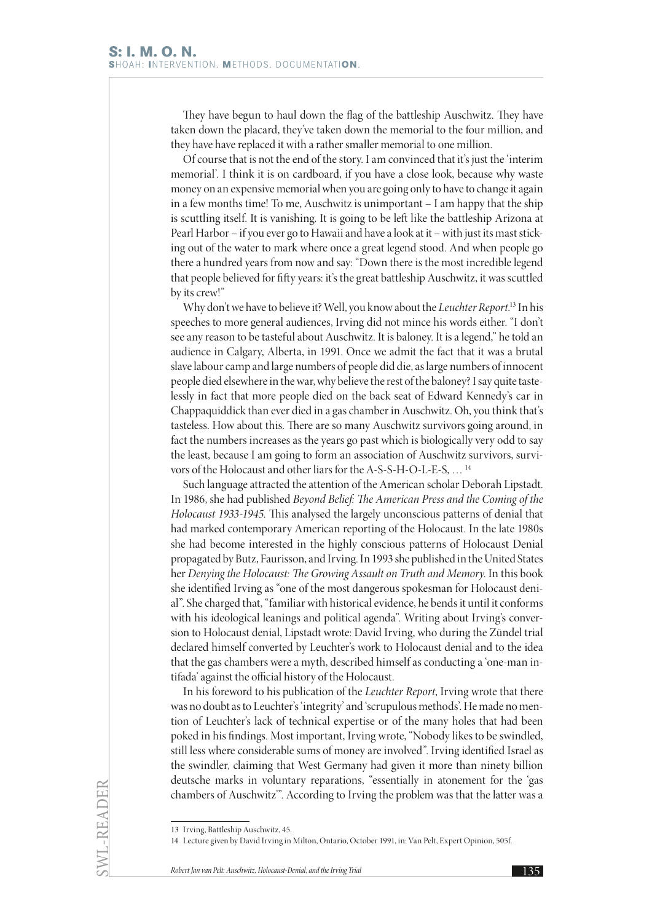They have begun to haul down the flag of the battleship Auschwitz. They have taken down the placard, they've taken down the memorial to the four million, and they have have replaced it with a rather smaller memorial to one million.

Of course that is not the end of the story. I am convinced that it's just the 'interim memorial'. I think it is on cardboard, if you have a close look, because why waste money on an expensive memorial when you are going only to have to change it again in a few months time! To me, Auschwitz is unimportant – I am happy that the ship is scuttling itself. It is vanishing. It is going to be left like the battleship Arizona at Pearl Harbor – if you ever go to Hawaii and have a look at it – with just its mast sticking out of the water to mark where once a great legend stood. And when people go there a hundred years from now and say: "Down there is the most incredible legend that people believed for fifty years: it's the great battleship Auschwitz, it was scuttled by its crew!"

Why don't we have to believe it? Well, you know about the *Leuchter Report*. 13 In his speeches to more general audiences, Irving did not mince his words either. "I don't see any reason to be tasteful about Auschwitz. It is baloney. It is a legend," he told an audience in Calgary, Alberta, in 1991. Once we admit the fact that it was a brutal slave labour camp and large numbers of people did die, as large numbers of innocent people died elsewhere in the war, why believe the rest of the baloney? I say quite tastelessly in fact that more people died on the back seat of Edward Kennedy's car in Chappaquiddick than ever died in a gas chamber in Auschwitz. Oh, you think that's tasteless. How about this. There are so many Auschwitz survivors going around, in fact the numbers increases as the years go past which is biologically very odd to say the least, because I am going to form an association of Auschwitz survivors, survivors of the Holocaust and other liars for the A-S-S-H-O-L-E-S, … 14

Such language attracted the attention of the American scholar Deborah Lipstadt. In 1986, she had published *Beyond Belief: The American Press and the Coming of the Holocaust 1933-1945.* This analysed the largely unconscious patterns of denial that had marked contemporary American reporting of the Holocaust. In the late 1980s she had become interested in the highly conscious patterns of Holocaust Denial propagated by Butz, Faurisson, and Irving. In 1993 she published in the United States her *Denying the Holocaust: The Growing Assault on Truth and Memory*. In this book she identified Irving as "one of the most dangerous spokesman for Holocaust denial". She charged that, "familiar with historical evidence, he bends it until it conforms with his ideological leanings and political agenda". Writing about Irving's conversion to Holocaust denial, Lipstadt wrote: David Irving, who during the Zündel trial declared himself converted by Leuchter's work to Holocaust denial and to the idea that the gas chambers were a myth, described himself as conducting a 'one-man intifada' against the official history of the Holocaust.

In his foreword to his publication of the *Leuchter Report*, Irving wrote that there was no doubt as to Leuchter's 'integrity' and 'scrupulous methods'. He made no mention of Leuchter's lack of technical expertise or of the many holes that had been poked in his findings. Most important, Irving wrote, "Nobody likes to be swindled, still less where considerable sums of money are involved". Irving identified Israel as the swindler, claiming that West Germany had given it more than ninety billion deutsche marks in voluntary reparations, "essentially in atonement for the 'gas chambers of Auschwitz'". According to Irving the problem was that the latter was a

SWL-READER

<sup>13</sup> Irving, Battleship Auschwitz, 45.

<sup>14</sup> Lecture given by David Irving in Milton, Ontario, October 1991, in: Van Pelt, Expert Opinion, 505f.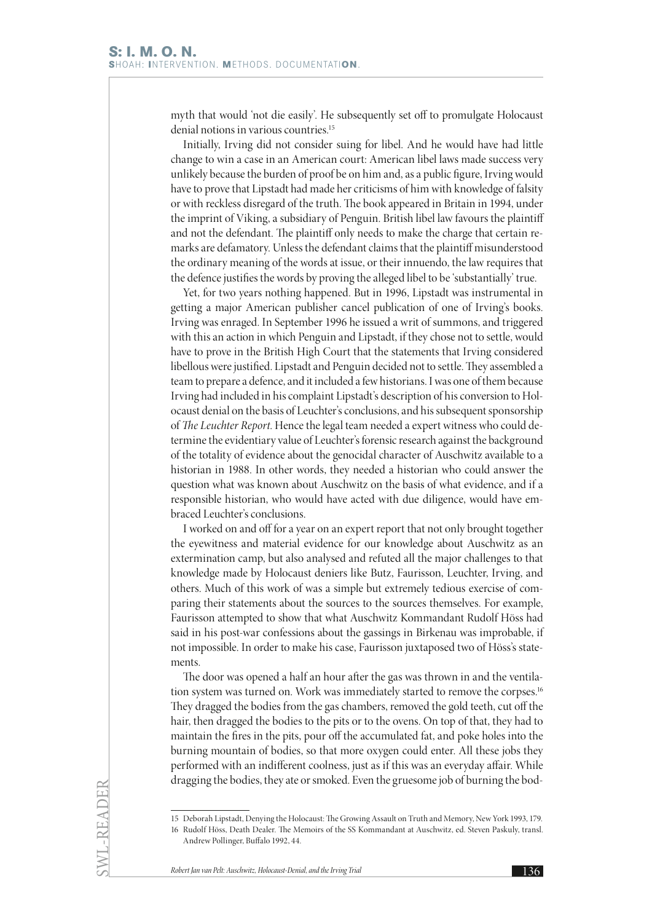myth that would 'not die easily'. He subsequently set off to promulgate Holocaust denial notions in various countries.<sup>15</sup>

Initially, Irving did not consider suing for libel. And he would have had little change to win a case in an American court: American libel laws made success very unlikely because the burden of proof be on him and, as a public figure, Irving would have to prove that Lipstadt had made her criticisms of him with knowledge of falsity or with reckless disregard of the truth. The book appeared in Britain in 1994, under the imprint of Viking, a subsidiary of Penguin. British libel law favours the plaintiff and not the defendant. The plaintiff only needs to make the charge that certain remarks are defamatory. Unless the defendant claims that the plaintiff misunderstood the ordinary meaning of the words at issue, or their innuendo, the law requires that the defence justifies the words by proving the alleged libel to be 'substantially' true.

Yet, for two years nothing happened. But in 1996, Lipstadt was instrumental in getting a major American publisher cancel publication of one of Irving's books. Irving was enraged. In September 1996 he issued a writ of summons, and triggered with this an action in which Penguin and Lipstadt, if they chose not to settle, would have to prove in the British High Court that the statements that Irving considered libellous were justified. Lipstadt and Penguin decided not to settle. They assembled a team to prepare a defence, and it included a few historians. I was one of them because Irving had included in his complaint Lipstadt's description of his conversion to Holocaust denial on the basis of Leuchter's conclusions, and his subsequent sponsorship of *The Leuchter Report*. Hence the legal team needed a expert witness who could determine the evidentiary value of Leuchter's forensic research against the background of the totality of evidence about the genocidal character of Auschwitz available to a historian in 1988. In other words, they needed a historian who could answer the question what was known about Auschwitz on the basis of what evidence, and if a responsible historian, who would have acted with due diligence, would have embraced Leuchter's conclusions.

I worked on and off for a year on an expert report that not only brought together the eyewitness and material evidence for our knowledge about Auschwitz as an extermination camp, but also analysed and refuted all the major challenges to that knowledge made by Holocaust deniers like Butz, Faurisson, Leuchter, Irving, and others. Much of this work of was a simple but extremely tedious exercise of comparing their statements about the sources to the sources themselves. For example, Faurisson attempted to show that what Auschwitz Kommandant Rudolf Höss had said in his post-war confessions about the gassings in Birkenau was improbable, if not impossible. In order to make his case, Faurisson juxtaposed two of Höss's statements.

The door was opened a half an hour after the gas was thrown in and the ventilation system was turned on. Work was immediately started to remove the corpses.<sup>16</sup> They dragged the bodies from the gas chambers, removed the gold teeth, cut off the hair, then dragged the bodies to the pits or to the ovens. On top of that, they had to maintain the fires in the pits, pour off the accumulated fat, and poke holes into the burning mountain of bodies, so that more oxygen could enter. All these jobs they performed with an indifferent coolness, just as if this was an everyday affair. While dragging the bodies, they ate or smoked. Even the gruesome job of burning the bod-

SWL-READER

<sup>15</sup> Deborah Lipstadt, Denying the Holocaust: The Growing Assault on Truth and Memory, New York 1993, 179. 16 Rudolf Höss, Death Dealer. The Memoirs of the SS Kommandant at Auschwitz, ed. Steven Paskuly, transl.

Andrew Pollinger, Buffalo 1992, 44.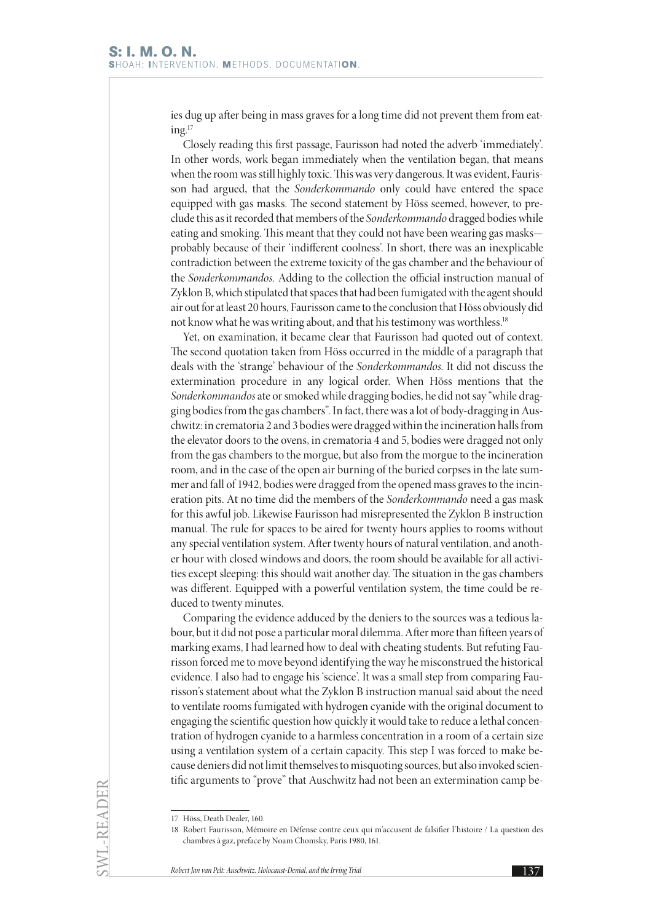ies dug up after being in mass graves for a long time did not prevent them from eat $ing.<sup>17</sup>$ 

Closely reading this first passage, Faurisson had noted the adverb 'immediately'. In other words, work began immediately when the ventilation began, that means when the room was still highly toxic. This was very dangerous. It was evident, Faurisson had argued, that the *Sonderkommando* only could have entered the space equipped with gas masks. The second statement by Höss seemed, however, to preclude this as it recorded that members of the *Sonderkommando* dragged bodies while eating and smoking. This meant that they could not have been wearing gas masks probably because of their 'indifferent coolness'. In short, there was an inexplicable contradiction between the extreme toxicity of the gas chamber and the behaviour of the *Sonderkommandos.* Adding to the collection the official instruction manual of Zyklon B, which stipulated that spaces that had been fumigated with the agent should air out for at least 20 hours, Faurisson came to the conclusion that Höss obviously did not know what he was writing about, and that his testimony was worthless.<sup>18</sup>

Yet, on examination, it became clear that Faurisson had quoted out of context. The second quotation taken from Höss occurred in the middle of a paragraph that deals with the 'strange' behaviour of the *Sonderkommandos*. It did not discuss the extermination procedure in any logical order. When Höss mentions that the *Sonderkommandos* ate or smoked while dragging bodies, he did not say "while dragging bodies from the gas chambers". In fact, there was a lot of body-dragging in Auschwitz: in crematoria 2 and 3 bodies were dragged within the incineration halls from the elevator doors to the ovens, in crematoria 4 and 5, bodies were dragged not only from the gas chambers to the morgue, but also from the morgue to the incineration room, and in the case of the open air burning of the buried corpses in the late summer and fall of 1942, bodies were dragged from the opened mass graves to the incineration pits. At no time did the members of the *Sonderkommando* need a gas mask for this awful job. Likewise Faurisson had misrepresented the Zyklon B instruction manual. The rule for spaces to be aired for twenty hours applies to rooms without any special ventilation system. After twenty hours of natural ventilation, and another hour with closed windows and doors, the room should be available for all activities except sleeping: this should wait another day. The situation in the gas chambers was different. Equipped with a powerful ventilation system, the time could be reduced to twenty minutes.

Comparing the evidence adduced by the deniers to the sources was a tedious labour, but it did not pose a particular moral dilemma. After more than fifteen years of marking exams, I had learned how to deal with cheating students. But refuting Faurisson forced me to move beyond identifying the way he misconstrued the historical evidence. I also had to engage his 'science'. It was a small step from comparing Faurisson's statement about what the Zyklon B instruction manual said about the need to ventilate rooms fumigated with hydrogen cyanide with the original document to engaging the scientific question how quickly it would take to reduce a lethal concentration of hydrogen cyanide to a harmless concentration in a room of a certain size using a ventilation system of a certain capacity. This step I was forced to make because deniers did not limit themselves to misquoting sources, but also invoked scientific arguments to "prove" that Auschwitz had not been an extermination camp be-

<sup>17</sup> Höss, Death Dealer, 160.

<sup>18</sup> Robert Faurisson, Mémoire en Défense contre ceux qui m'accusent de falsifier l'histoire / La question des chambres à gaz, preface by Noam Chomsky, Paris 1980, 161.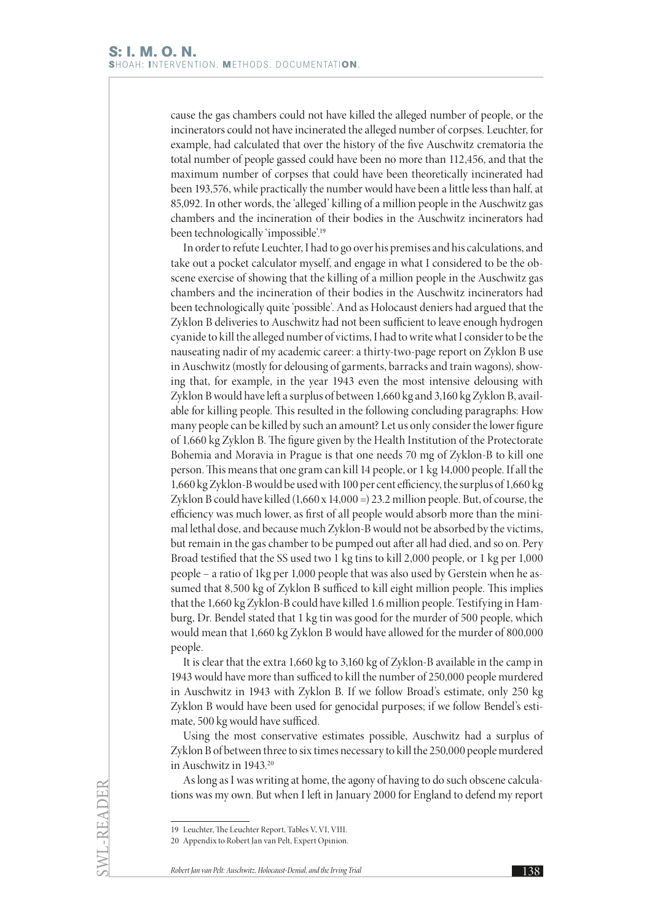cause the gas chambers could not have killed the alleged number of people, or the incinerators could not have incinerated the alleged number of corpses. Leuchter, for example, had calculated that over the history of the five Auschwitz crematoria the total number of people gassed could have been no more than 112,456, and that the maximum number of corpses that could have been theoretically incinerated had been 193,576, while practically the number would have been a little less than half, at 85,092. In other words, the 'alleged' killing of a million people in the Auschwitz gas chambers and the incineration of their bodies in the Auschwitz incinerators had been technologically 'impossible'.19

In order to refute Leuchter, I had to go over his premises and his calculations, and take out a pocket calculator myself, and engage in what I considered to be the obscene exercise of showing that the killing of a million people in the Auschwitz gas chambers and the incineration of their bodies in the Auschwitz incinerators had been technologically quite 'possible'. And as Holocaust deniers had argued that the Zyklon B deliveries to Auschwitz had not been sufficient to leave enough hydrogen cyanide to kill the alleged number of victims, I had to write what I consider to be the nauseating nadir of my academic career: a thirty-two-page report on Zyklon B use in Auschwitz (mostly for delousing of garments, barracks and train wagons), showing that, for example, in the year 1943 even the most intensive delousing with Zyklon B would have left a surplus of between 1,660 kg and 3,160 kg Zyklon B, available for killing people. This resulted in the following concluding paragraphs: How many people can be killed by such an amount? Let us only consider the lower figure of 1,660 kg Zyklon B. The figure given by the Health Institution of the Protectorate Bohemia and Moravia in Prague is that one needs 70 mg of Zyklon-B to kill one person. This means that one gram can kill 14 people, or 1 kg 14,000 people. If all the 1,660 kg Zyklon-B would be used with 100 per cent efficiency, the surplus of 1,660 kg Zyklon B could have killed  $(1,660 \times 14,000 = 23.2 \text{ million people.}$  But, of course, the efficiency was much lower, as first of all people would absorb more than the minimal lethal dose, and because much Zyklon-B would not be absorbed by the victims, but remain in the gas chamber to be pumped out after all had died, and so on. Pery Broad testified that the SS used two 1 kg tins to kill 2,000 people, or 1 kg per 1,000 people – a ratio of 1kg per 1,000 people that was also used by Gerstein when he assumed that 8,500 kg of Zyklon B sufficed to kill eight million people. This implies that the 1,660 kg Zyklon-B could have killed 1.6 million people. Testifying in Hamburg, Dr. Bendel stated that 1 kg tin was good for the murder of 500 people, which would mean that 1,660 kg Zyklon B would have allowed for the murder of 800,000 people.

It is clear that the extra 1,660 kg to 3,160 kg of Zyklon-B available in the camp in 1943 would have more than sufficed to kill the number of 250,000 people murdered in Auschwitz in 1943 with Zyklon B. If we follow Broad's estimate, only 250 kg Zyklon B would have been used for genocidal purposes; if we follow Bendel's estimate, 500 kg would have sufficed.

Using the most conservative estimates possible, Auschwitz had a surplus of Zyklon B of between three to six times necessary to kill the 250,000 people murdered in Auschwitz in 1943.20

As long as I was writing at home, the agony of having to do such obscene calculations was my own. But when I left in January 2000 for England to defend my report

SWL-READER

<sup>19</sup> Leuchter, The Leuchter Report, Tables V, VI, VIII.

<sup>20</sup> Appendix to Robert Jan van Pelt, Expert Opinion.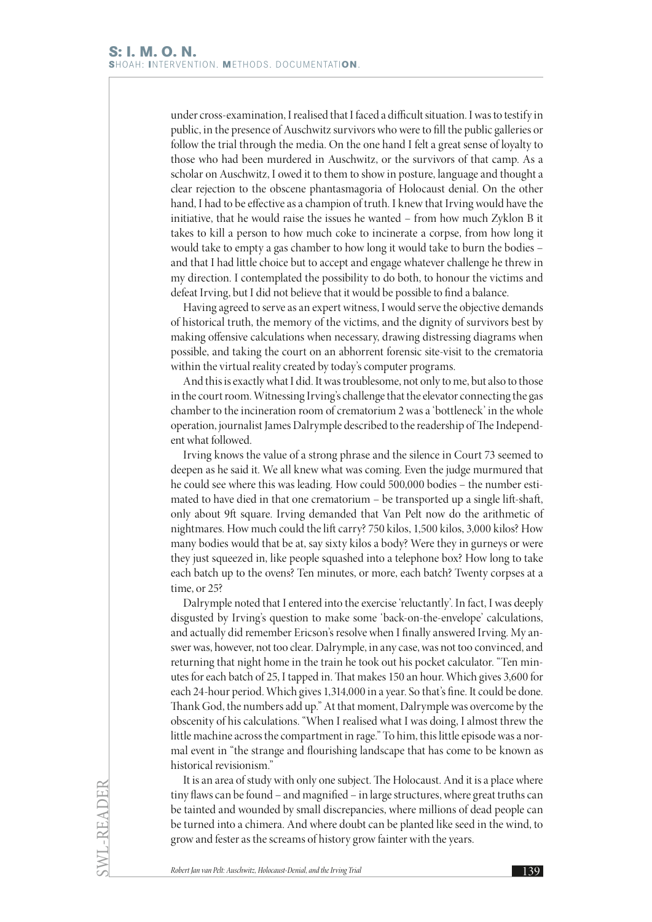under cross-examination, I realised that I faced a difficult situation. I was to testify in public, in the presence of Auschwitz survivors who were to fill the public galleries or follow the trial through the media. On the one hand I felt a great sense of loyalty to those who had been murdered in Auschwitz, or the survivors of that camp. As a scholar on Auschwitz, I owed it to them to show in posture, language and thought a clear rejection to the obscene phantasmagoria of Holocaust denial. On the other hand, I had to be effective as a champion of truth. I knew that Irving would have the initiative, that he would raise the issues he wanted – from how much Zyklon B it takes to kill a person to how much coke to incinerate a corpse, from how long it would take to empty a gas chamber to how long it would take to burn the bodies – and that I had little choice but to accept and engage whatever challenge he threw in my direction. I contemplated the possibility to do both, to honour the victims and defeat Irving, but I did not believe that it would be possible to find a balance.

Having agreed to serve as an expert witness, I would serve the objective demands of historical truth, the memory of the victims, and the dignity of survivors best by making offensive calculations when necessary, drawing distressing diagrams when possible, and taking the court on an abhorrent forensic site-visit to the crematoria within the virtual reality created by today's computer programs.

And this is exactly what I did. It was troublesome, not only to me, but also to those in the court room. Witnessing Irving's challenge that the elevator connecting the gas chamber to the incineration room of crematorium 2 was a 'bottleneck' in the whole operation, journalist James Dalrymple described to the readership of The Independent what followed.

Irving knows the value of a strong phrase and the silence in Court 73 seemed to deepen as he said it. We all knew what was coming. Even the judge murmured that he could see where this was leading. How could 500,000 bodies – the number estimated to have died in that one crematorium – be transported up a single lift-shaft, only about 9ft square. Irving demanded that Van Pelt now do the arithmetic of nightmares. How much could the lift carry? 750 kilos, 1,500 kilos, 3,000 kilos? How many bodies would that be at, say sixty kilos a body? Were they in gurneys or were they just squeezed in, like people squashed into a telephone box? How long to take each batch up to the ovens? Ten minutes, or more, each batch? Twenty corpses at a time, or 25?

Dalrymple noted that I entered into the exercise 'reluctantly'. In fact, I was deeply disgusted by Irving's question to make some 'back-on-the-envelope' calculations, and actually did remember Ericson's resolve when I finally answered Irving. My answer was, however, not too clear. Dalrymple, in any case, was not too convinced, and returning that night home in the train he took out his pocket calculator. "Ten minutes for each batch of 25, I tapped in. That makes 150 an hour. Which gives 3,600 for each 24-hour period. Which gives 1,314,000 in a year. So that's fine. It could be done. Thank God, the numbers add up." At that moment, Dalrymple was overcome by the obscenity of his calculations. "When I realised what I was doing, I almost threw the little machine across the compartment in rage." To him, this little episode was a normal event in "the strange and flourishing landscape that has come to be known as historical revisionism."

It is an area of study with only one subject. The Holocaust. And it is a place where tiny flaws can be found – and magnified – in large structures, where great truths can be tainted and wounded by small discrepancies, where millions of dead people can be turned into a chimera. And where doubt can be planted like seed in the wind, to grow and fester as the screams of history grow fainter with the years.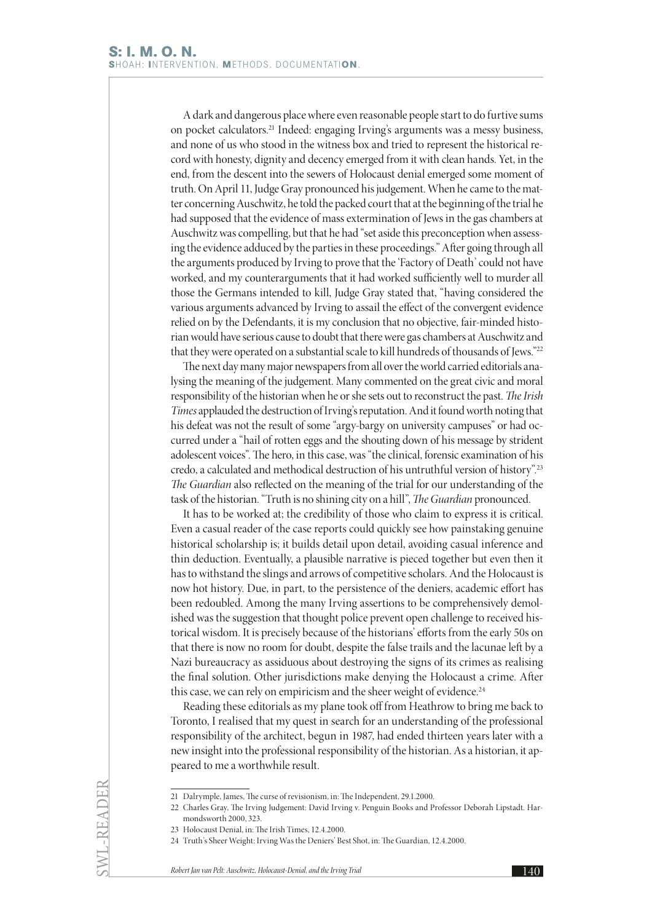A dark and dangerous place where even reasonable people start to do furtive sums on pocket calculators.21 Indeed: engaging Irving's arguments was a messy business, and none of us who stood in the witness box and tried to represent the historical record with honesty, dignity and decency emerged from it with clean hands. Yet, in the end, from the descent into the sewers of Holocaust denial emerged some moment of truth. On April 11, Judge Gray pronounced his judgement. When he came to the matter concerning Auschwitz, he told the packed court that at the beginning of the trial he had supposed that the evidence of mass extermination of Jews in the gas chambers at Auschwitz was compelling, but that he had "set aside this preconception when assessing the evidence adduced by the parties in these proceedings." After going through all the arguments produced by Irving to prove that the 'Factory of Death' could not have worked, and my counterarguments that it had worked sufficiently well to murder all those the Germans intended to kill, Judge Gray stated that, "having considered the various arguments advanced by Irving to assail the effect of the convergent evidence relied on by the Defendants, it is my conclusion that no objective, fair-minded historian would have serious cause to doubt that there were gas chambers at Auschwitz and that they were operated on a substantial scale to kill hundreds of thousands of Jews."22

The next day many major newspapers from all over the world carried editorials analysing the meaning of the judgement. Many commented on the great civic and moral responsibility of the historian when he or she sets out to reconstruct the past. *The Irish Times* applauded the destruction of Irving's reputation. And it found worth noting that his defeat was not the result of some "argy-bargy on university campuses" or had occurred under a "hail of rotten eggs and the shouting down of his message by strident adolescent voices". The hero, in this case, was "the clinical, forensic examination of his credo, a calculated and methodical destruction of his untruthful version of history".23 *The Guardian* also reflected on the meaning of the trial for our understanding of the task of the historian. "Truth is no shining city on a hill", *The Guardian* pronounced.

It has to be worked at; the credibility of those who claim to express it is critical. Even a casual reader of the case reports could quickly see how painstaking genuine historical scholarship is; it builds detail upon detail, avoiding casual inference and thin deduction. Eventually, a plausible narrative is pieced together but even then it has to withstand the slings and arrows of competitive scholars. And the Holocaust is now hot history. Due, in part, to the persistence of the deniers, academic effort has been redoubled. Among the many Irving assertions to be comprehensively demolished was the suggestion that thought police prevent open challenge to received historical wisdom. It is precisely because of the historians' efforts from the early 50s on that there is now no room for doubt, despite the false trails and the lacunae left by a Nazi bureaucracy as assiduous about destroying the signs of its crimes as realising the final solution. Other jurisdictions make denying the Holocaust a crime. After this case, we can rely on empiricism and the sheer weight of evidence.<sup>24</sup>

Reading these editorials as my plane took off from Heathrow to bring me back to Toronto, I realised that my quest in search for an understanding of the professional responsibility of the architect, begun in 1987, had ended thirteen years later with a new insight into the professional responsibility of the historian. As a historian, it appeared to me a worthwhile result.

SWL-READER

<sup>21</sup> Dalrymple, James, The curse of revisionism, in: The Independent, 29.1.2000.

<sup>22</sup> Charles Gray, The Irving Judgement: David Irving v. Penguin Books and Professor Deborah Lipstadt. Harmondsworth 2000, 323.

<sup>23</sup> Holocaust Denial, in: The Irish Times, 12.4.2000.

<sup>24</sup> Truth's Sheer Weight: Irving Was the Deniers' Best Shot, in: The Guardian, 12.4.2000.